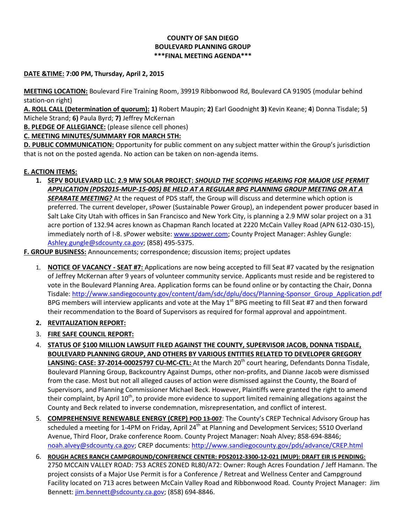## **COUNTY OF SAN DIEGO BOULEVARD PLANNING GROUP \*\*\*FINAL MEETING AGENDA\*\*\***

## **DATE &TIME: 7:00 PM, Thursday, April 2, 2015**

**MEETING LOCATION:** Boulevard Fire Training Room, 39919 Ribbonwood Rd, Boulevard CA 91905 (modular behind station-on right)

**A. ROLL CALL (Determination of quorum): 1)** Robert Maupin; **2)** Earl Goodnight **3)** Kevin Keane; **4**) Donna Tisdale; 5**)**  Michele Strand; **6)** Paula Byrd; **7)** Jeffrey McKernan

**B. PLEDGE OF ALLEGIANCE:** (please silence cell phones)

**C. MEETING MINUTES/SUMMARY FOR MARCH 5TH:**

**D. PUBLIC COMMUNICATION:** Opportunity for public comment on any subject matter within the Group's jurisdiction that is not on the posted agenda. No action can be taken on non-agenda items.

# **E. ACTION ITEMS:**

**1. SEPV BOULEVARD LLC: 2.9 MW SOLAR PROJECT:** *SHOULD THE SCOPING HEARING FOR MAJOR USE PERMIT APPLICATION (PDS2015-MUP-15-005) BE HELD AT A REGULAR BPG PLANNING GROUP MEETING OR AT A SEPARATE MEETING?* At the request of PDS staff, the Group will discuss and determine which option is preferred. The current developer, sPower (Sustainable Power Group), an independent power producer based in Salt Lake City Utah with offices in San Francisco and New York City, is planning a 2.9 MW solar project on a 31 acre portion of 132.94 acres known as Chapman Ranch located at 2220 McCain Valley Road (APN 612-030-15), immediately north of I-8. sPower website: [www.spower.com;](http://www.spower.com/) County Project Manager: Ashley Gungle: [Ashley.gungle@sdcounty.ca.gov;](mailto:Ashley.gungle@sdcounty.ca.gov) (858) 495-5375.

**F. GROUP BUSINESS:** Announcements; correspondence; discussion items; project updates

1. **NOTICE OF VACANCY - SEAT #7:** Applications are now being accepted to fill Seat #7 vacated by the resignation of Jeffrey McKernan after 9 years of volunteer community service. Applicants must reside and be registered to vote in the Boulevard Planning Area. Application forms can be found online or by contacting the Chair, Donna Tisdale: [http://www.sandiegocounty.gov/content/dam/sdc/dplu/docs/Planning-Sponsor\\_Group\\_Application.pdf](http://www.sandiegocounty.gov/content/dam/sdc/dplu/docs/Planning-Sponsor_Group_Application.pdf) BPG members will interview applicants and vote at the May  $1<sup>st</sup>$  BPG meeting to fill Seat #7 and then forward their recommendation to the Board of Supervisors as required for formal approval and appointment.

# **2. REVITALIZATION REPORT:**

- 3. **FIRE SAFE COUNCIL REPORT:**
- 4. **STATUS OF \$100 MILLION LAWSUIT FILED AGAINST THE COUNTY, SUPERVISOR JACOB, DONNA TISDALE, BOULEVARD PLANNING GROUP, AND OTHERS BY VARIOUS ENTITIES RELATED TO DEVELOPER GREGORY**  LANSING: CASE: 37-2014-00025797 CU-MC-CTL: At the March 20<sup>th</sup> court hearing, Defendants Donna Tisdale, Boulevard Planning Group, Backcountry Against Dumps, other non-profits, and Dianne Jacob were dismissed from the case. Most but not all alleged causes of action were dismissed against the County, the Board of Supervisors, and Planning Commissioner Michael Beck. However, Plaintiffs were granted the right to amend their complaint, by April 10<sup>th</sup>, to provide more evidence to support limited remaining allegations against the County and Beck related to inverse condemnation, misrepresentation, and conflict of interest.
- 5. **COMPREHENSIVE RENEWABLE ENERGY (CREP) POD 13-007**: The County's CREP Technical Advisory Group has scheduled a meeting for 1-4PM on Friday, April 24<sup>th</sup> at Planning and Development Services; 5510 Overland Avenue, Third Floor, Drake conference Room. County Project Manager: Noah Alvey; 858-694-8846; [noah.alvey@sdcounty.ca.gov;](mailto:noah.alvey@sdcounty.ca.gov) CREP documents: <http://www.sandiegocounty.gov/pds/advance/CREP.html>
- 6. **ROUGH ACRES RANCH CAMPGROUND/CONFERENCE CENTER: PDS2012-3300-12-021 (MUP): DRAFT EIR IS PENDING:**  2750 MCCAIN VALLEY ROAD: 753 ACRES ZONED RL80/A72: Owner: Rough Acres Foundation / Jeff Hamann. The project consists of a Major Use Permit is for a Conference / Retreat and Wellness Center and Campground Facility located on 713 acres between McCain Valley Road and Ribbonwood Road. County Project Manager: Jim Bennett: [jim.bennett@sdcounty.ca.gov;](mailto:jim.bennett@sdcounty.ca.gov) (858) 694-8846.